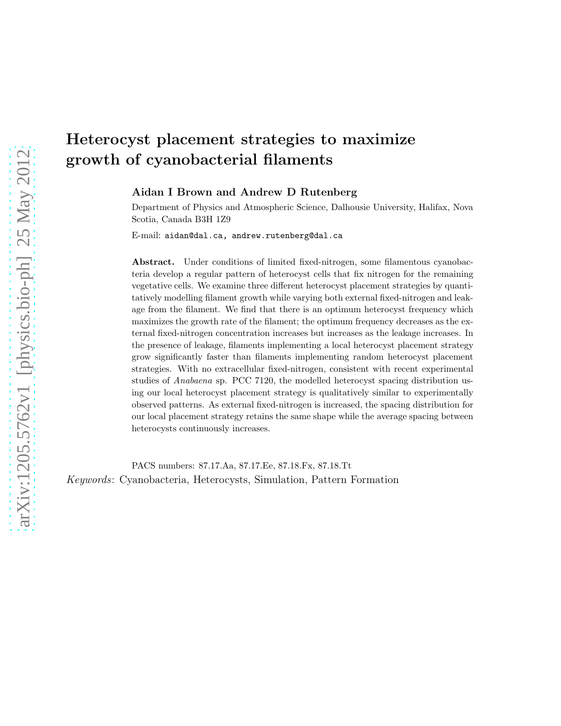# Heterocyst placement strategies to maximize growth of cyanobacterial filaments

Aidan I Brown and Andrew D Rutenberg

Department of Physics and Atmospheric Science, Dalhousie University, Halifax, Nova Scotia, Canada B3H 1Z9

E-mail: aidan@dal.ca, andrew.rutenberg@dal.ca

Abstract. Under conditions of limited fixed-nitrogen, some filamentous cyanobacteria develop a regular pattern of heterocyst cells that fix nitrogen for the remaining vegetative cells. We examine three different heterocyst placement strategies by quantitatively modelling filament growth while varying both external fixed-nitrogen and leakage from the filament. We find that there is an optimum heterocyst frequency which maximizes the growth rate of the filament; the optimum frequency decreases as the external fixed-nitrogen concentration increases but increases as the leakage increases. In the presence of leakage, filaments implementing a local heterocyst placement strategy grow significantly faster than filaments implementing random heterocyst placement strategies. With no extracellular fixed-nitrogen, consistent with recent experimental studies of Anabaena sp. PCC 7120, the modelled heterocyst spacing distribution using our local heterocyst placement strategy is qualitatively similar to experimentally observed patterns. As external fixed-nitrogen is increased, the spacing distribution for our local placement strategy retains the same shape while the average spacing between heterocysts continuously increases.

PACS numbers: 87.17.Aa, 87.17.Ee, 87.18.Fx, 87.18.Tt Keywords: Cyanobacteria, Heterocysts, Simulation, Pattern Formation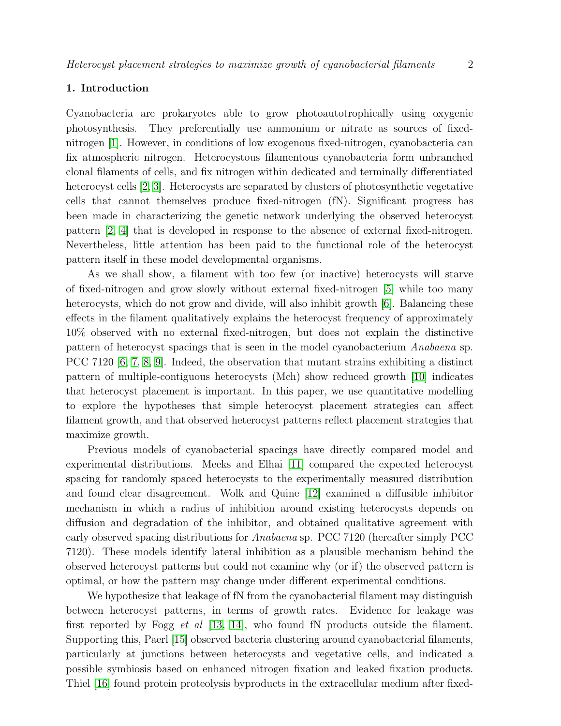# 1. Introduction

Cyanobacteria are prokaryotes able to grow photoautotrophically using oxygenic photosynthesis. They preferentially use ammonium or nitrate as sources of fixednitrogen [\[1\]](#page-16-0). However, in conditions of low exogenous fixed-nitrogen, cyanobacteria can fix atmospheric nitrogen. Heterocystous filamentous cyanobacteria form unbranched clonal filaments of cells, and fix nitrogen within dedicated and terminally differentiated heterocyst cells [\[2,](#page-16-1) [3\]](#page-16-2). Heterocysts are separated by clusters of photosynthetic vegetative cells that cannot themselves produce fixed-nitrogen (fN). Significant progress has been made in characterizing the genetic network underlying the observed heterocyst pattern [\[2,](#page-16-1) [4\]](#page-16-3) that is developed in response to the absence of external fixed-nitrogen. Nevertheless, little attention has been paid to the functional role of the heterocyst pattern itself in these model developmental organisms.

As we shall show, a filament with too few (or inactive) heterocysts will starve of fixed-nitrogen and grow slowly without external fixed-nitrogen [\[5\]](#page-16-4) while too many heterocysts, which do not grow and divide, will also inhibit growth [\[6\]](#page-16-5). Balancing these effects in the filament qualitatively explains the heterocyst frequency of approximately 10% observed with no external fixed-nitrogen, but does not explain the distinctive pattern of heterocyst spacings that is seen in the model cyanobacterium Anabaena sp. PCC 7120 [\[6,](#page-16-5) [7,](#page-16-6) [8,](#page-16-7) [9\]](#page-16-8). Indeed, the observation that mutant strains exhibiting a distinct pattern of multiple-contiguous heterocysts (Mch) show reduced growth [\[10\]](#page-16-9) indicates that heterocyst placement is important. In this paper, we use quantitative modelling to explore the hypotheses that simple heterocyst placement strategies can affect filament growth, and that observed heterocyst patterns reflect placement strategies that maximize growth.

Previous models of cyanobacterial spacings have directly compared model and experimental distributions. Meeks and Elhai [\[11\]](#page-16-10) compared the expected heterocyst spacing for randomly spaced heterocysts to the experimentally measured distribution and found clear disagreement. Wolk and Quine [\[12\]](#page-16-11) examined a diffusible inhibitor mechanism in which a radius of inhibition around existing heterocysts depends on diffusion and degradation of the inhibitor, and obtained qualitative agreement with early observed spacing distributions for Anabaena sp. PCC 7120 (hereafter simply PCC 7120). These models identify lateral inhibition as a plausible mechanism behind the observed heterocyst patterns but could not examine why (or if) the observed pattern is optimal, or how the pattern may change under different experimental conditions.

We hypothesize that leakage of fN from the cyanobacterial filament may distinguish between heterocyst patterns, in terms of growth rates. Evidence for leakage was first reported by Fogg et al  $[13, 14]$  $[13, 14]$ , who found fN products outside the filament. Supporting this, Paerl [\[15\]](#page-16-14) observed bacteria clustering around cyanobacterial filaments, particularly at junctions between heterocysts and vegetative cells, and indicated a possible symbiosis based on enhanced nitrogen fixation and leaked fixation products. Thiel [\[16\]](#page-16-15) found protein proteolysis byproducts in the extracellular medium after fixed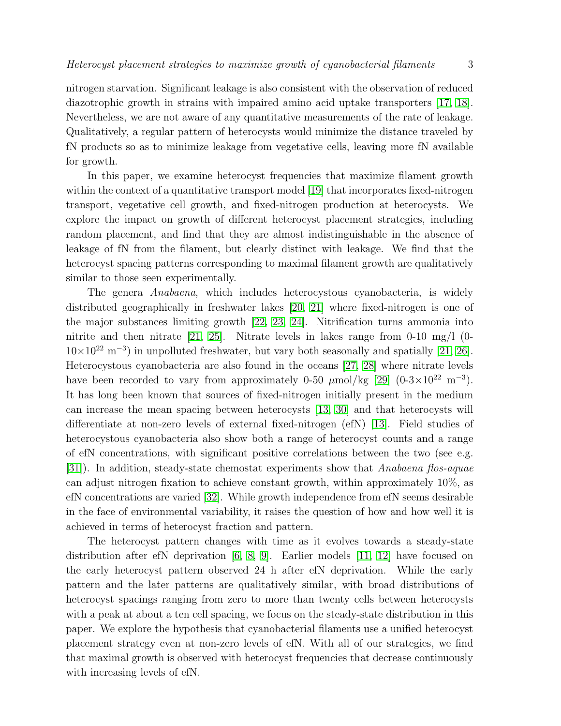nitrogen starvation. Significant leakage is also consistent with the observation of reduced diazotrophic growth in strains with impaired amino acid uptake transporters [\[17,](#page-16-16) [18\]](#page-16-17). Nevertheless, we are not aware of any quantitative measurements of the rate of leakage. Qualitatively, a regular pattern of heterocysts would minimize the distance traveled by fN products so as to minimize leakage from vegetative cells, leaving more fN available for growth.

In this paper, we examine heterocyst frequencies that maximize filament growth within the context of a quantitative transport model [\[19\]](#page-16-18) that incorporates fixed-nitrogen transport, vegetative cell growth, and fixed-nitrogen production at heterocysts. We explore the impact on growth of different heterocyst placement strategies, including random placement, and find that they are almost indistinguishable in the absence of leakage of fN from the filament, but clearly distinct with leakage. We find that the heterocyst spacing patterns corresponding to maximal filament growth are qualitatively similar to those seen experimentally.

The genera Anabaena, which includes heterocystous cyanobacteria, is widely distributed geographically in freshwater lakes [\[20,](#page-16-19) [21\]](#page-16-20) where fixed-nitrogen is one of the major substances limiting growth [\[22,](#page-16-21) [23,](#page-16-22) [24\]](#page-16-23). Nitrification turns ammonia into nitrite and then nitrate  $[21, 25]$  $[21, 25]$ . Nitrate levels in lakes range from 0-10 mg/l (0- $10\times10^{22}$  m<sup>-3</sup>) in unpolluted freshwater, but vary both seasonally and spatially [\[21,](#page-16-20) [26\]](#page-17-1). Heterocystous cyanobacteria are also found in the oceans [\[27,](#page-17-2) [28\]](#page-17-3) where nitrate levels have been recorded to vary from approximately 0-50  $\mu$ mol/kg [\[29\]](#page-17-4) (0-3×10<sup>22</sup> m<sup>-3</sup>). It has long been known that sources of fixed-nitrogen initially present in the medium can increase the mean spacing between heterocysts [\[13,](#page-16-12) [30\]](#page-17-5) and that heterocysts will differentiate at non-zero levels of external fixed-nitrogen (efN) [\[13\]](#page-16-12). Field studies of heterocystous cyanobacteria also show both a range of heterocyst counts and a range of efN concentrations, with significant positive correlations between the two (see e.g. [\[31\]](#page-17-6)). In addition, steady-state chemostat experiments show that Anabaena flos-aquae can adjust nitrogen fixation to achieve constant growth, within approximately 10%, as efN concentrations are varied [\[32\]](#page-17-7). While growth independence from efN seems desirable in the face of environmental variability, it raises the question of how and how well it is achieved in terms of heterocyst fraction and pattern.

The heterocyst pattern changes with time as it evolves towards a steady-state distribution after efN deprivation [\[6,](#page-16-5) [8,](#page-16-7) [9\]](#page-16-8). Earlier models [\[11,](#page-16-10) [12\]](#page-16-11) have focused on the early heterocyst pattern observed 24 h after efN deprivation. While the early pattern and the later patterns are qualitatively similar, with broad distributions of heterocyst spacings ranging from zero to more than twenty cells between heterocysts with a peak at about a ten cell spacing, we focus on the steady-state distribution in this paper. We explore the hypothesis that cyanobacterial filaments use a unified heterocyst placement strategy even at non-zero levels of efN. With all of our strategies, we find that maximal growth is observed with heterocyst frequencies that decrease continuously with increasing levels of efN.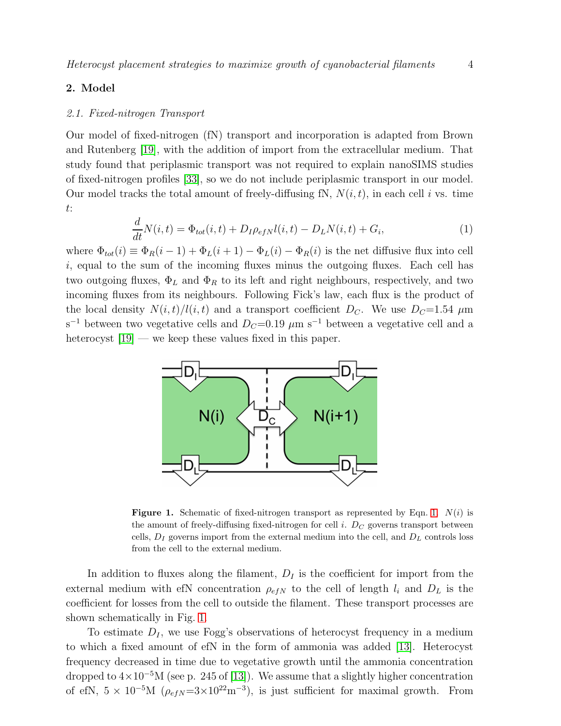# 2. Model

#### 2.1. Fixed-nitrogen Transport

Our model of fixed-nitrogen (fN) transport and incorporation is adapted from Brown and Rutenberg [\[19\]](#page-16-18), with the addition of import from the extracellular medium. That study found that periplasmic transport was not required to explain nanoSIMS studies of fixed-nitrogen profiles [\[33\]](#page-17-8), so we do not include periplasmic transport in our model. Our model tracks the total amount of freely-diffusing fN,  $N(i, t)$ , in each cell i vs. time t:

<span id="page-3-0"></span>
$$
\frac{d}{dt}N(i,t) = \Phi_{tot}(i,t) + D_I \rho_{efN} l(i,t) - D_L N(i,t) + G_i,
$$
\n(1)

where  $\Phi_{tot}(i) \equiv \Phi_R(i-1) + \Phi_L(i+1) - \Phi_L(i) - \Phi_R(i)$  is the net diffusive flux into cell  $i$ , equal to the sum of the incoming fluxes minus the outgoing fluxes. Each cell has two outgoing fluxes,  $\Phi_L$  and  $\Phi_R$  to its left and right neighbours, respectively, and two incoming fluxes from its neighbours. Following Fick's law, each flux is the product of the local density  $N(i, t)/l(i, t)$  and a transport coefficient  $D_C$ . We use  $D_C=1.54 \mu m$ s<sup>-1</sup> between two vegetative cells and  $D<sub>C</sub>=0.19 \mu m s<sup>-1</sup>$  between a vegetative cell and a heterocyst  $[19]$  — we keep these values fixed in this paper.



<span id="page-3-1"></span>**Figure [1.](#page-3-0)** Schematic of fixed-nitrogen transport as represented by Eqn. 1.  $N(i)$  is the amount of freely-diffusing fixed-nitrogen for cell *i*.  $D<sub>C</sub>$  governs transport between cells,  $D_I$  governs import from the external medium into the cell, and  $D_L$  controls loss from the cell to the external medium.

In addition to fluxes along the filament,  $D_I$  is the coefficient for import from the external medium with efN concentration  $\rho_{efN}$  to the cell of length  $l_i$  and  $D_L$  is the coefficient for losses from the cell to outside the filament. These transport processes are shown schematically in Fig. [1.](#page-3-1)

To estimate  $D<sub>I</sub>$ , we use Fogg's observations of heterocyst frequency in a medium to which a fixed amount of efN in the form of ammonia was added [\[13\]](#page-16-12). Heterocyst frequency decreased in time due to vegetative growth until the ammonia concentration dropped to  $4\times10^{-5}$ M (see p. 245 of [\[13\]](#page-16-12)). We assume that a slightly higher concentration of efN,  $5 \times 10^{-5}$ M ( $\rho_{efN} = 3 \times 10^{22}$ m<sup>-3</sup>), is just sufficient for maximal growth. From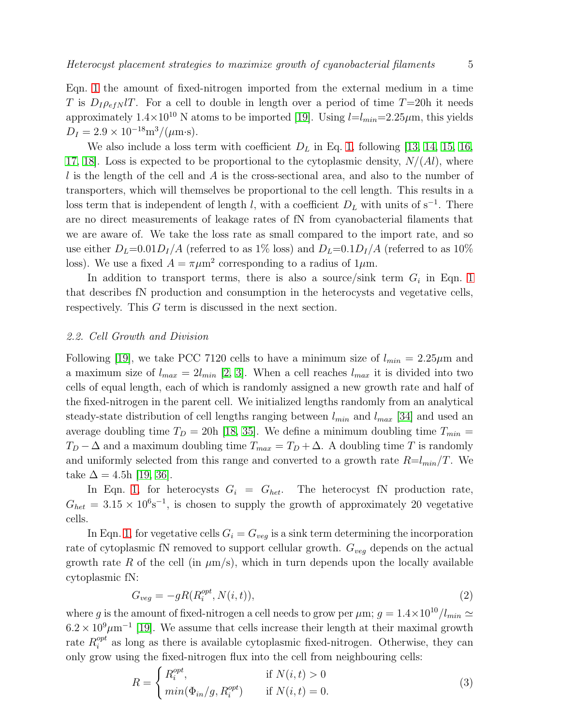Eqn. [1](#page-3-0) the amount of fixed-nitrogen imported from the external medium in a time T is  $D_I \rho_{efN} lT$ . For a cell to double in length over a period of time T=20h it needs approximately  $1.4 \times 10^{10}$  N atoms to be imported [\[19\]](#page-16-18). Using  $l=l_{min}=2.25 \mu m$ , this yields  $D_I = 2.9 \times 10^{-18} \text{m}^3/(\mu \text{m} \cdot \text{s}).$ 

We also include a loss term with coefficient  $D<sub>L</sub>$  in Eq. [1,](#page-3-0) following [\[13,](#page-16-12) [14,](#page-16-13) [15,](#page-16-14) [16,](#page-16-15) [17,](#page-16-16) 18. Loss is expected to be proportional to the cytoplasmic density,  $N/(Al)$ , where l is the length of the cell and A is the cross-sectional area, and also to the number of transporters, which will themselves be proportional to the cell length. This results in a loss term that is independent of length l, with a coefficient  $D<sub>L</sub>$  with units of s<sup>-1</sup>. There are no direct measurements of leakage rates of fN from cyanobacterial filaments that we are aware of. We take the loss rate as small compared to the import rate, and so use either  $D_L=0.01D_I/A$  (referred to as 1% loss) and  $D_L=0.1D_I/A$  (referred to as 10% loss). We use a fixed  $A = \pi \mu m^2$  corresponding to a radius of  $1\mu m$ .

In addition to transport terms, there is also a source/sink term  $G_i$  in Eqn. [1](#page-3-0) that describes fN production and consumption in the heterocysts and vegetative cells, respectively. This G term is discussed in the next section.

#### 2.2. Cell Growth and Division

Following [\[19\]](#page-16-18), we take PCC 7120 cells to have a minimum size of  $l_{min} = 2.25 \mu m$  and a maximum size of  $l_{max} = 2l_{min}$  [\[2,](#page-16-1) [3\]](#page-16-2). When a cell reaches  $l_{max}$  it is divided into two cells of equal length, each of which is randomly assigned a new growth rate and half of the fixed-nitrogen in the parent cell. We initialized lengths randomly from an analytical steady-state distribution of cell lengths ranging between  $l_{min}$  and  $l_{max}$  [\[34\]](#page-17-9) and used an average doubling time  $T_D = 20h$  [\[18,](#page-16-17) [35\]](#page-17-10). We define a minimum doubling time  $T_{min} =$  $T_D - \Delta$  and a maximum doubling time  $T_{max} = T_D + \Delta$ . A doubling time T is randomly and uniformly selected from this range and converted to a growth rate  $R=l_{min}/T$ . We take  $\Delta = 4.5h$  [\[19,](#page-16-18) [36\]](#page-17-11).

In Eqn. [1,](#page-3-0) for heterocysts  $G_i = G_{het}$ . The heterocyst fN production rate,  $G_{het} = 3.15 \times 10^{6} \text{s}^{-1}$ , is chosen to supply the growth of approximately 20 vegetative cells.

In Eqn. [1,](#page-3-0) for vegetative cells  $G_i = G_{veg}$  is a sink term determining the incorporation rate of cytoplasmic fN removed to support cellular growth.  $G_{veq}$  depends on the actual growth rate R of the cell (in  $\mu$ m/s), which in turn depends upon the locally available cytoplasmic fN:

$$
G_{veg} = -gR(R_i^{opt}, N(i, t)),\tag{2}
$$

where g is the amount of fixed-nitrogen a cell needs to grow per  $\mu$ m;  $g = 1.4 \times 10^{10} / l_{min} \simeq$  $6.2 \times 10^9 \mu m^{-1}$  [\[19\]](#page-16-18). We assume that cells increase their length at their maximal growth rate  $R_i^{opt}$  $i<sup>opt</sup>$  as long as there is available cytoplasmic fixed-nitrogen. Otherwise, they can only grow using the fixed-nitrogen flux into the cell from neighbouring cells:

$$
R = \begin{cases} R_i^{opt}, & \text{if } N(i, t) > 0\\ \min(\Phi_{in}/g, R_i^{opt}) & \text{if } N(i, t) = 0. \end{cases}
$$
 (3)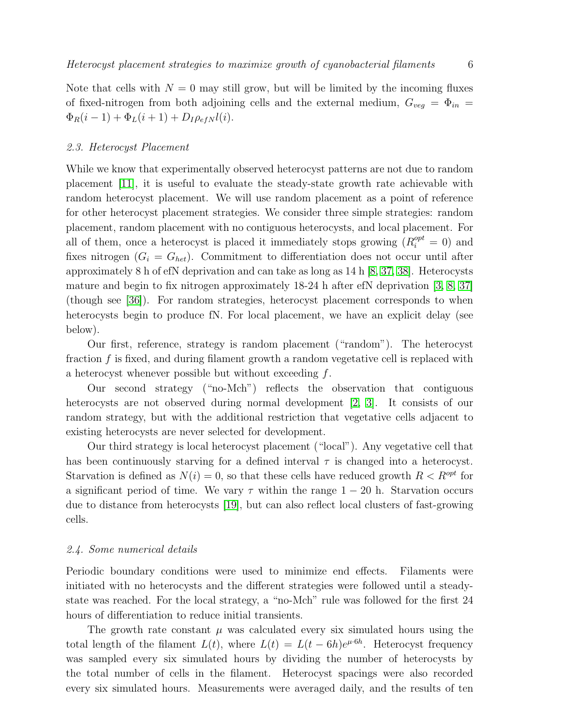Note that cells with  $N = 0$  may still grow, but will be limited by the incoming fluxes of fixed-nitrogen from both adjoining cells and the external medium,  $G_{veq} = \Phi_{in}$  $\Phi_R(i-1) + \Phi_L(i+1) + D_I \rho_{efN} l(i).$ 

## 2.3. Heterocyst Placement

While we know that experimentally observed heterocyst patterns are not due to random placement [\[11\]](#page-16-10), it is useful to evaluate the steady-state growth rate achievable with random heterocyst placement. We will use random placement as a point of reference for other heterocyst placement strategies. We consider three simple strategies: random placement, random placement with no contiguous heterocysts, and local placement. For all of them, once a heterocyst is placed it immediately stops growing  $(R_i^{opt} = 0)$  and fixes nitrogen  $(G_i = G_{het})$ . Commitment to differentiation does not occur until after approximately 8 h of efN deprivation and can take as long as 14 h [\[8,](#page-16-7) [37,](#page-17-12) [38\]](#page-17-13). Heterocysts mature and begin to fix nitrogen approximately 18-24 h after efN deprivation [\[3,](#page-16-2) [8,](#page-16-7) [37\]](#page-17-12) (though see [\[36\]](#page-17-11)). For random strategies, heterocyst placement corresponds to when heterocysts begin to produce fN. For local placement, we have an explicit delay (see below).

Our first, reference, strategy is random placement ("random"). The heterocyst fraction f is fixed, and during filament growth a random vegetative cell is replaced with a heterocyst whenever possible but without exceeding f.

Our second strategy ("no-Mch") reflects the observation that contiguous heterocysts are not observed during normal development [\[2,](#page-16-1) [3\]](#page-16-2). It consists of our random strategy, but with the additional restriction that vegetative cells adjacent to existing heterocysts are never selected for development.

Our third strategy is local heterocyst placement ("local"). Any vegetative cell that has been continuously starving for a defined interval  $\tau$  is changed into a heterocyst. Starvation is defined as  $N(i) = 0$ , so that these cells have reduced growth  $R < R^{opt}$  for a significant period of time. We vary  $\tau$  within the range  $1 - 20$  h. Starvation occurs due to distance from heterocysts [\[19\]](#page-16-18), but can also reflect local clusters of fast-growing cells.

## 2.4. Some numerical details

Periodic boundary conditions were used to minimize end effects. Filaments were initiated with no heterocysts and the different strategies were followed until a steadystate was reached. For the local strategy, a "no-Mch" rule was followed for the first 24 hours of differentiation to reduce initial transients.

The growth rate constant  $\mu$  was calculated every six simulated hours using the total length of the filament  $L(t)$ , where  $L(t) = L(t - 6h)e^{\mu \cdot 6h}$ . Heterocyst frequency was sampled every six simulated hours by dividing the number of heterocysts by the total number of cells in the filament. Heterocyst spacings were also recorded every six simulated hours. Measurements were averaged daily, and the results of ten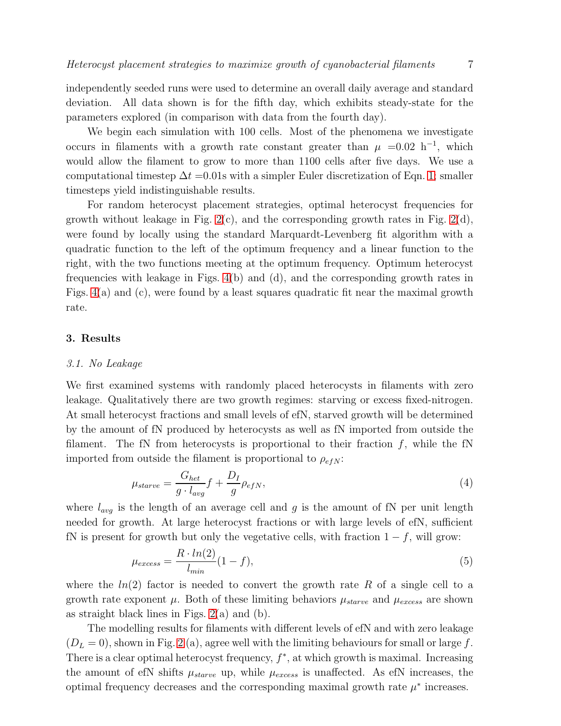independently seeded runs were used to determine an overall daily average and standard deviation. All data shown is for the fifth day, which exhibits steady-state for the parameters explored (in comparison with data from the fourth day).

We begin each simulation with 100 cells. Most of the phenomena we investigate occurs in filaments with a growth rate constant greater than  $\mu = 0.02$  h<sup>-1</sup>, which would allow the filament to grow to more than 1100 cells after five days. We use a computational timestep  $\Delta t = 0.01$ s with a simpler Euler discretization of Eqn. [1;](#page-3-0) smaller timesteps yield indistinguishable results.

For random heterocyst placement strategies, optimal heterocyst frequencies for growth without leakage in Fig.  $2(c)$ , and the corresponding growth rates in Fig.  $2(d)$ , were found by locally using the standard Marquardt-Levenberg fit algorithm with a quadratic function to the left of the optimum frequency and a linear function to the right, with the two functions meeting at the optimum frequency. Optimum heterocyst frequencies with leakage in Figs. [4\(](#page-10-0)b) and (d), and the corresponding growth rates in Figs.  $4(a)$  and (c), were found by a least squares quadratic fit near the maximal growth rate.

# 3. Results

#### 3.1. No Leakage

We first examined systems with randomly placed heterocysts in filaments with zero leakage. Qualitatively there are two growth regimes: starving or excess fixed-nitrogen. At small heterocyst fractions and small levels of efN, starved growth will be determined by the amount of fN produced by heterocysts as well as fN imported from outside the filament. The fN from heterocysts is proportional to their fraction  $f$ , while the fN imported from outside the filament is proportional to  $\rho_{efN}$ :

<span id="page-6-0"></span>
$$
\mu_{starve} = \frac{G_{het}}{g \cdot l_{avg}} f + \frac{D_I}{g} \rho_{efN},\tag{4}
$$

where  $l_{avg}$  is the length of an average cell and g is the amount of fN per unit length needed for growth. At large heterocyst fractions or with large levels of efN, sufficient fN is present for growth but only the vegetative cells, with fraction  $1 - f$ , will grow:

<span id="page-6-1"></span>
$$
\mu_{excess} = \frac{R \cdot ln(2)}{l_{min}} (1 - f),\tag{5}
$$

where the  $ln(2)$  factor is needed to convert the growth rate R of a single cell to a growth rate exponent  $\mu$ . Both of these limiting behaviors  $\mu_{starve}$  and  $\mu_{excess}$  are shown as straight black lines in Figs.  $2(a)$  and  $(b)$ .

The modelling results for filaments with different levels of efN and with zero leakage  $(D<sub>L</sub> = 0)$ , shown in Fig. [2](#page-7-0) (a), agree well with the limiting behaviours for small or large f. There is a clear optimal heterocyst frequency,  $f^*$ , at which growth is maximal. Increasing the amount of efN shifts  $\mu_{starve}$  up, while  $\mu_{excess}$  is unaffected. As efN increases, the optimal frequency decreases and the corresponding maximal growth rate  $\mu^*$  increases.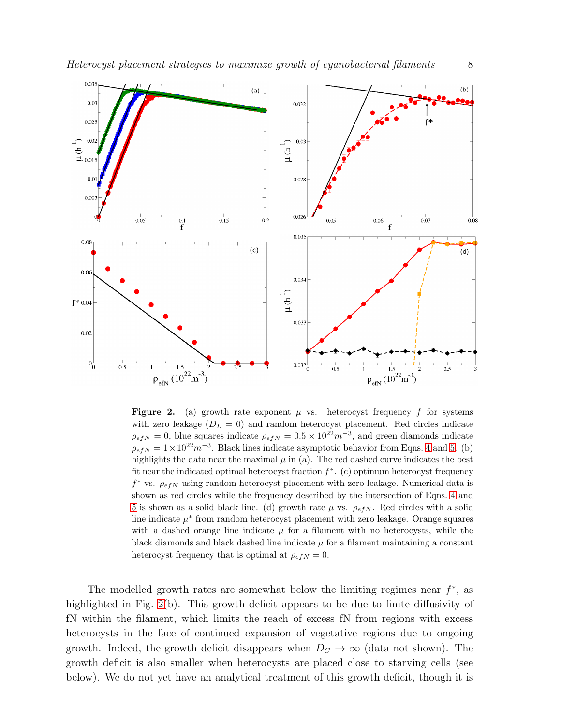

<span id="page-7-0"></span>**Figure 2.** (a) growth rate exponent  $\mu$  vs. heterocyst frequency f for systems with zero leakage  $(D_L = 0)$  and random heterocyst placement. Red circles indicate  $\rho_{efN} = 0$ , blue squares indicate  $\rho_{efN} = 0.5 \times 10^{22} m^{-3}$ , and green diamonds indicate  $\rho_{efN} = 1 \times 10^{22} m^{-3}$ . Black lines indicate asymptotic behavior from Eqns. [4](#page-6-0) and [5.](#page-6-1) (b) highlights the data near the maximal  $\mu$  in (a). The red dashed curve indicates the best fit near the indicated optimal heterocyst fraction  $f^*$ . (c) optimum heterocyst frequency  $f^*$  vs.  $\rho_{efN}$  using random heterocyst placement with zero leakage. Numerical data is shown as red circles while the frequency described by the intersection of Eqns. [4](#page-6-0) and [5](#page-6-1) is shown as a solid black line. (d) growth rate  $\mu$  vs.  $\rho_{efN}$ . Red circles with a solid line indicate  $\mu^*$  from random heterocyst placement with zero leakage. Orange squares with a dashed orange line indicate  $\mu$  for a filament with no heterocysts, while the black diamonds and black dashed line indicate  $\mu$  for a filament maintaining a constant heterocyst frequency that is optimal at  $\rho_{efN} = 0$ .

The modelled growth rates are somewhat below the limiting regimes near  $f^*$ , as highlighted in Fig. [2\(](#page-7-0)b). This growth deficit appears to be due to finite diffusivity of fN within the filament, which limits the reach of excess fN from regions with excess heterocysts in the face of continued expansion of vegetative regions due to ongoing growth. Indeed, the growth deficit disappears when  $D<sub>C</sub> \rightarrow \infty$  (data not shown). The growth deficit is also smaller when heterocysts are placed close to starving cells (see below). We do not yet have an analytical treatment of this growth deficit, though it is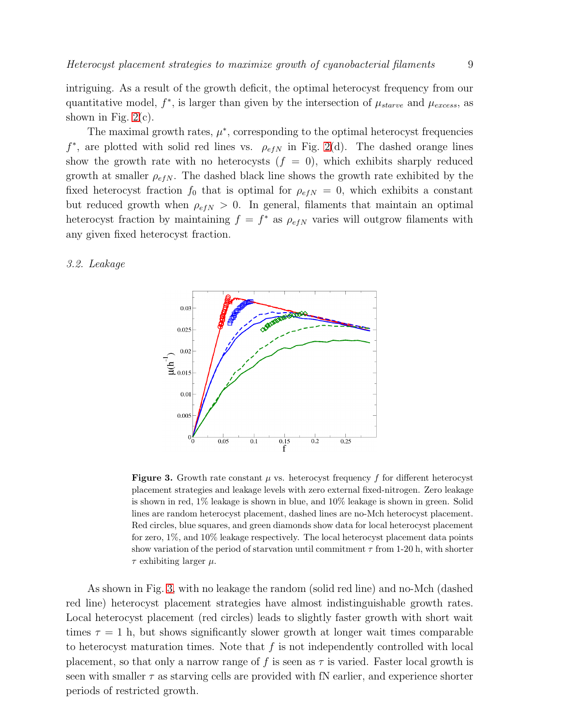intriguing. As a result of the growth deficit, the optimal heterocyst frequency from our quantitative model,  $f^*$ , is larger than given by the intersection of  $\mu_{starve}$  and  $\mu_{excess}$ , as shown in Fig.  $2(c)$ .

The maximal growth rates,  $\mu^*$ , corresponding to the optimal heterocyst frequencies  $f^*$ , are plotted with solid red lines vs.  $\rho_{efN}$  in Fig. [2\(](#page-7-0)d). The dashed orange lines show the growth rate with no heterocysts  $(f = 0)$ , which exhibits sharply reduced growth at smaller  $\rho_{efN}$ . The dashed black line shows the growth rate exhibited by the fixed heterocyst fraction  $f_0$  that is optimal for  $\rho_{efN} = 0$ , which exhibits a constant but reduced growth when  $\rho_{efN} > 0$ . In general, filaments that maintain an optimal heterocyst fraction by maintaining  $f = f^*$  as  $\rho_{efN}$  varies will outgrow filaments with any given fixed heterocyst fraction.

# 3.2. Leakage



<span id="page-8-0"></span>**Figure 3.** Growth rate constant  $\mu$  vs. heterocyst frequency f for different heterocyst placement strategies and leakage levels with zero external fixed-nitrogen. Zero leakage is shown in red, 1% leakage is shown in blue, and 10% leakage is shown in green. Solid lines are random heterocyst placement, dashed lines are no-Mch heterocyst placement. Red circles, blue squares, and green diamonds show data for local heterocyst placement for zero, 1%, and 10% leakage respectively. The local heterocyst placement data points show variation of the period of starvation until commitment  $\tau$  from 1-20 h, with shorter  $\tau$  exhibiting larger  $\mu$ .

As shown in Fig. [3,](#page-8-0) with no leakage the random (solid red line) and no-Mch (dashed red line) heterocyst placement strategies have almost indistinguishable growth rates. Local heterocyst placement (red circles) leads to slightly faster growth with short wait times  $\tau = 1$  h, but shows significantly slower growth at longer wait times comparable to heterocyst maturation times. Note that  $f$  is not independently controlled with local placement, so that only a narrow range of f is seen as  $\tau$  is varied. Faster local growth is seen with smaller  $\tau$  as starving cells are provided with fN earlier, and experience shorter periods of restricted growth.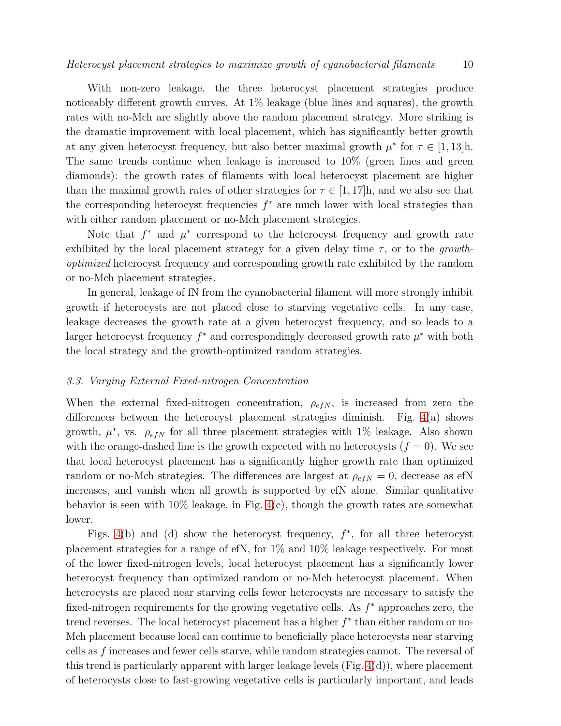With non-zero leakage, the three heterocyst placement strategies produce noticeably different growth curves. At 1% leakage (blue lines and squares), the growth rates with no-Mch are slightly above the random placement strategy. More striking is the dramatic improvement with local placement, which has significantly better growth at any given heterocyst frequency, but also better maximal growth  $\mu^*$  for  $\tau \in [1, 13]$ h. The same trends continue when leakage is increased to 10% (green lines and green diamonds): the growth rates of filaments with local heterocyst placement are higher than the maximal growth rates of other strategies for  $\tau \in [1, 17]$ h, and we also see that the corresponding heterocyst frequencies  $f^*$  are much lower with local strategies than with either random placement or no-Mch placement strategies.

Note that  $f^*$  and  $\mu^*$  correspond to the heterocyst frequency and growth rate exhibited by the local placement strategy for a given delay time  $\tau$ , or to the growthoptimized heterocyst frequency and corresponding growth rate exhibited by the random or no-Mch placement strategies.

In general, leakage of fN from the cyanobacterial filament will more strongly inhibit growth if heterocysts are not placed close to starving vegetative cells. In any case, leakage decreases the growth rate at a given heterocyst frequency, and so leads to a larger heterocyst frequency  $f^*$  and correspondingly decreased growth rate  $\mu^*$  with both the local strategy and the growth-optimized random strategies.

#### 3.3. Varying External Fixed-nitrogen Concentration

When the external fixed-nitrogen concentration,  $\rho_{e f N}$ , is increased from zero the differences between the heterocyst placement strategies diminish. Fig. [4\(](#page-10-0)a) shows growth,  $\mu^*$ , vs.  $\rho_{efN}$  for all three placement strategies with 1% leakage. Also shown with the orange-dashed line is the growth expected with no heterocysts  $(f = 0)$ . We see that local heterocyst placement has a significantly higher growth rate than optimized random or no-Mch strategies. The differences are largest at  $\rho_{efN} = 0$ , decrease as efN increases, and vanish when all growth is supported by efN alone. Similar qualitative behavior is seen with 10% leakage, in Fig. [4\(](#page-10-0)c), though the growth rates are somewhat lower.

Figs. [4\(](#page-10-0)b) and (d) show the heterocyst frequency,  $f^*$ , for all three heterocyst placement strategies for a range of efN, for 1% and 10% leakage respectively. For most of the lower fixed-nitrogen levels, local heterocyst placement has a significantly lower heterocyst frequency than optimized random or no-Mch heterocyst placement. When heterocysts are placed near starving cells fewer heterocysts are necessary to satisfy the fixed-nitrogen requirements for the growing vegetative cells. As  $f^*$  approaches zero, the trend reverses. The local heterocyst placement has a higher  $f^*$  than either random or no-Mch placement because local can continue to beneficially place heterocysts near starving cells as f increases and fewer cells starve, while random strategies cannot. The reversal of this trend is particularly apparent with larger leakage levels  $(Fig. 4(d))$  $(Fig. 4(d))$  $(Fig. 4(d))$ , where placement of heterocysts close to fast-growing vegetative cells is particularly important, and leads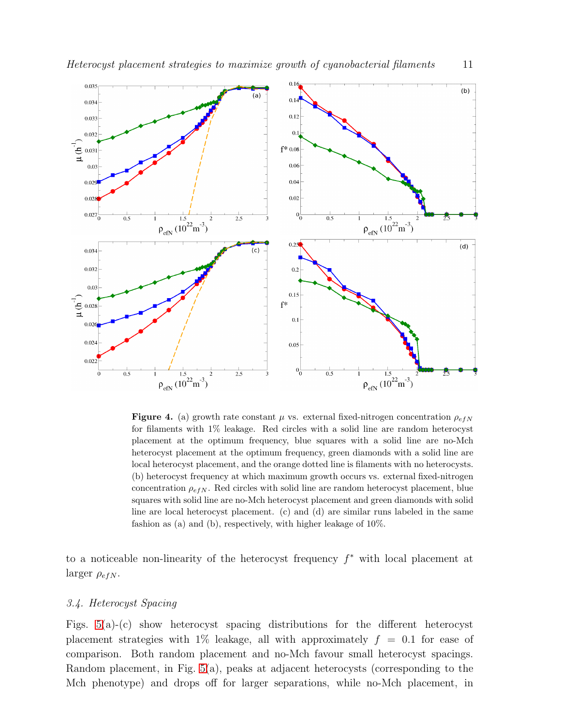

<span id="page-10-0"></span>**Figure 4.** (a) growth rate constant  $\mu$  vs. external fixed-nitrogen concentration  $\rho_{efN}$ for filaments with 1% leakage. Red circles with a solid line are random heterocyst placement at the optimum frequency, blue squares with a solid line are no-Mch heterocyst placement at the optimum frequency, green diamonds with a solid line are local heterocyst placement, and the orange dotted line is filaments with no heterocysts. (b) heterocyst frequency at which maximum growth occurs vs. external fixed-nitrogen concentration  $\rho_{efN}$ . Red circles with solid line are random heterocyst placement, blue squares with solid line are no-Mch heterocyst placement and green diamonds with solid line are local heterocyst placement. (c) and (d) are similar runs labeled in the same fashion as (a) and (b), respectively, with higher leakage of 10%.

to a noticeable non-linearity of the heterocyst frequency  $f^*$  with local placement at larger  $\rho_{efN}$ .

## 3.4. Heterocyst Spacing

Figs. [5\(](#page-11-0)a)-(c) show heterocyst spacing distributions for the different heterocyst placement strategies with 1% leakage, all with approximately  $f = 0.1$  for ease of comparison. Both random placement and no-Mch favour small heterocyst spacings. Random placement, in Fig. [5\(](#page-11-0)a), peaks at adjacent heterocysts (corresponding to the Mch phenotype) and drops off for larger separations, while no-Mch placement, in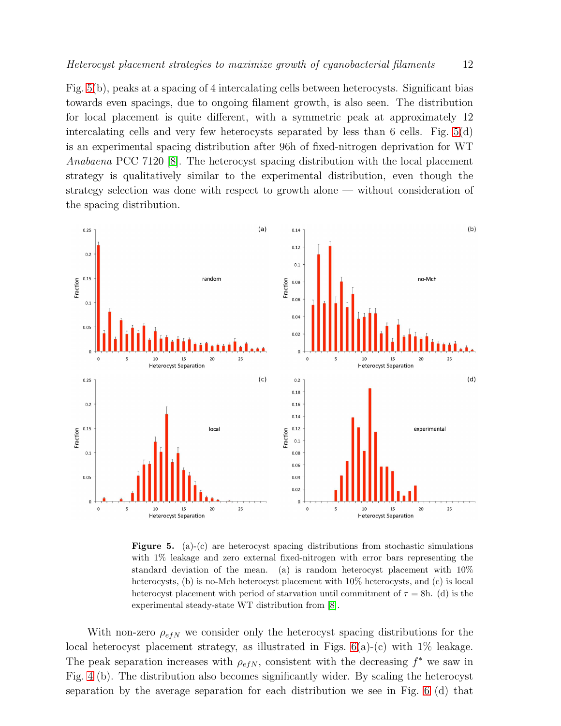Fig. [5\(](#page-11-0)b), peaks at a spacing of 4 intercalating cells between heterocysts. Significant bias towards even spacings, due to ongoing filament growth, is also seen. The distribution for local placement is quite different, with a symmetric peak at approximately 12 intercalating cells and very few heterocysts separated by less than 6 cells. Fig. [5\(](#page-11-0)d) is an experimental spacing distribution after 96h of fixed-nitrogen deprivation for WT Anabaena PCC 7120 [\[8\]](#page-16-7). The heterocyst spacing distribution with the local placement strategy is qualitatively similar to the experimental distribution, even though the strategy selection was done with respect to growth alone — without consideration of the spacing distribution.



<span id="page-11-0"></span>**Figure 5.** (a)-(c) are heterocyst spacing distributions from stochastic simulations with 1% leakage and zero external fixed-nitrogen with error bars representing the standard deviation of the mean. (a) is random heterocyst placement with 10% heterocysts, (b) is no-Mch heterocyst placement with  $10\%$  heterocysts, and (c) is local heterocyst placement with period of starvation until commitment of  $\tau = 8h$ . (d) is the experimental steady-state WT distribution from [\[8\]](#page-16-7).

With non-zero  $\rho_{e f N}$  we consider only the heterocyst spacing distributions for the local heterocyst placement strategy, as illustrated in Figs.  $6(a)-(c)$  with  $1\%$  leakage. The peak separation increases with  $\rho_{efN}$ , consistent with the decreasing  $f^*$  we saw in Fig. [4](#page-10-0) (b). The distribution also becomes significantly wider. By scaling the heterocyst separation by the average separation for each distribution we see in Fig. [6](#page-12-0) (d) that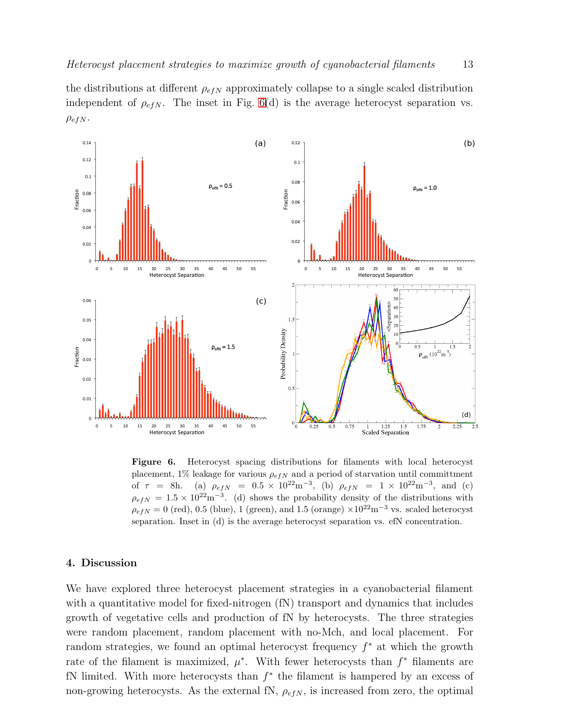the distributions at different  $\rho_{efN}$  approximately collapse to a single scaled distribution independent of  $\rho_{efN}$ . The inset in Fig. [6\(](#page-12-0)d) is the average heterocyst separation vs.  $\rho_{efN}$ .



<span id="page-12-0"></span>Figure 6. Heterocyst spacing distributions for filaments with local heterocyst placement, 1% leakage for various  $\rho_{efN}$  and a period of starvation until committment of  $\tau = 8h$ . (a)  $\rho_{efN} = 0.5 \times 10^{22} \text{m}^{-3}$ , (b)  $\rho_{efN} = 1 \times 10^{22} \text{m}^{-3}$ , and (c)  $\rho_{efN} = 1.5 \times 10^{22} \text{m}^{-3}$ . (d) shows the probability density of the distributions with  $\rho_{e f N} = 0$  (red), 0.5 (blue), 1 (green), and 1.5 (orange) ×10<sup>22</sup>m<sup>-3</sup> vs. scaled heterocyst separation. Inset in (d) is the average heterocyst separation vs. efN concentration.

#### 4. Discussion

We have explored three heterocyst placement strategies in a cyanobacterial filament with a quantitative model for fixed-nitrogen (fN) transport and dynamics that includes growth of vegetative cells and production of fN by heterocysts. The three strategies were random placement, random placement with no-Mch, and local placement. For random strategies, we found an optimal heterocyst frequency  $f^*$  at which the growth rate of the filament is maximized,  $\mu^*$ . With fewer heterocysts than  $f^*$  filaments are fN limited. With more heterocysts than  $f^*$  the filament is hampered by an excess of non-growing heterocysts. As the external fN,  $\rho_{e f N}$ , is increased from zero, the optimal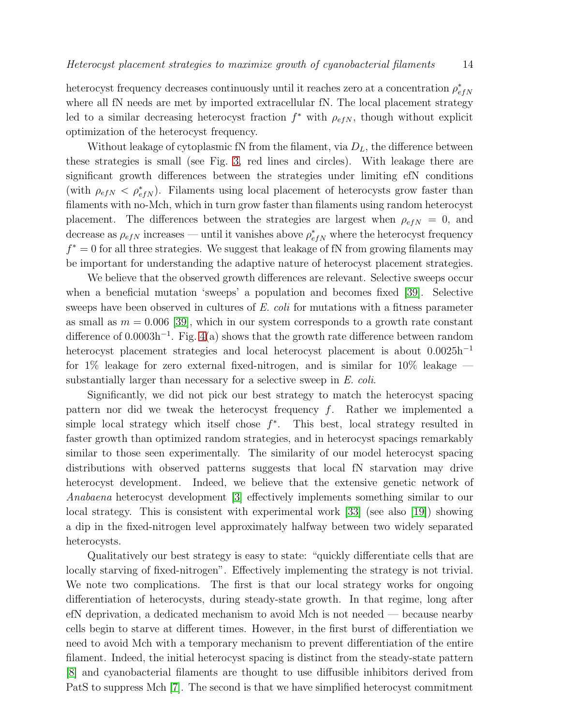heterocyst frequency decreases continuously until it reaches zero at a concentration  $\rho_e^*$  $_{efN}$ where all fN needs are met by imported extracellular fN. The local placement strategy led to a similar decreasing heterocyst fraction  $f^*$  with  $\rho_{efN}$ , though without explicit optimization of the heterocyst frequency.

Without leakage of cytoplasmic fN from the filament, via  $D<sub>L</sub>$ , the difference between these strategies is small (see Fig. [3,](#page-8-0) red lines and circles). With leakage there are significant growth differences between the strategies under limiting efN conditions (with  $\rho_{efN} < \rho_{efN}^*$ ). Filaments using local placement of heterocysts grow faster than filaments with no-Mch, which in turn grow faster than filaments using random heterocyst placement. The differences between the strategies are largest when  $\rho_{efN} = 0$ , and decrease as  $\rho_{efN}$  increases — until it vanishes above  $\rho_{efN}^*$  where the heterocyst frequency  $f^* = 0$  for all three strategies. We suggest that leakage of fN from growing filaments may be important for understanding the adaptive nature of heterocyst placement strategies.

We believe that the observed growth differences are relevant. Selective sweeps occur when a beneficial mutation 'sweeps' a population and becomes fixed [\[39\]](#page-17-14). Selective sweeps have been observed in cultures of E. coli for mutations with a fitness parameter as small as  $m = 0.006$  [\[39\]](#page-17-14), which in our system corresponds to a growth rate constant difference of  $0.0003h^{-1}$ . Fig. [4\(](#page-10-0)a) shows that the growth rate difference between random heterocyst placement strategies and local heterocyst placement is about 0.0025h<sup>−</sup><sup>1</sup> for  $1\%$  leakage for zero external fixed-nitrogen, and is similar for  $10\%$  leakage substantially larger than necessary for a selective sweep in E. coli.

Significantly, we did not pick our best strategy to match the heterocyst spacing pattern nor did we tweak the heterocyst frequency  $f$ . Rather we implemented a simple local strategy which itself chose  $f^*$ . This best, local strategy resulted in faster growth than optimized random strategies, and in heterocyst spacings remarkably similar to those seen experimentally. The similarity of our model heterocyst spacing distributions with observed patterns suggests that local fN starvation may drive heterocyst development. Indeed, we believe that the extensive genetic network of Anabaena heterocyst development [\[3\]](#page-16-2) effectively implements something similar to our local strategy. This is consistent with experimental work [\[33\]](#page-17-8) (see also [\[19\]](#page-16-18)) showing a dip in the fixed-nitrogen level approximately halfway between two widely separated heterocysts.

Qualitatively our best strategy is easy to state: "quickly differentiate cells that are locally starving of fixed-nitrogen". Effectively implementing the strategy is not trivial. We note two complications. The first is that our local strategy works for ongoing differentiation of heterocysts, during steady-state growth. In that regime, long after efN deprivation, a dedicated mechanism to avoid Mch is not needed — because nearby cells begin to starve at different times. However, in the first burst of differentiation we need to avoid Mch with a temporary mechanism to prevent differentiation of the entire filament. Indeed, the initial heterocyst spacing is distinct from the steady-state pattern [\[8\]](#page-16-7) and cyanobacterial filaments are thought to use diffusible inhibitors derived from PatS to suppress Mch [\[7\]](#page-16-6). The second is that we have simplified heterocyst commitment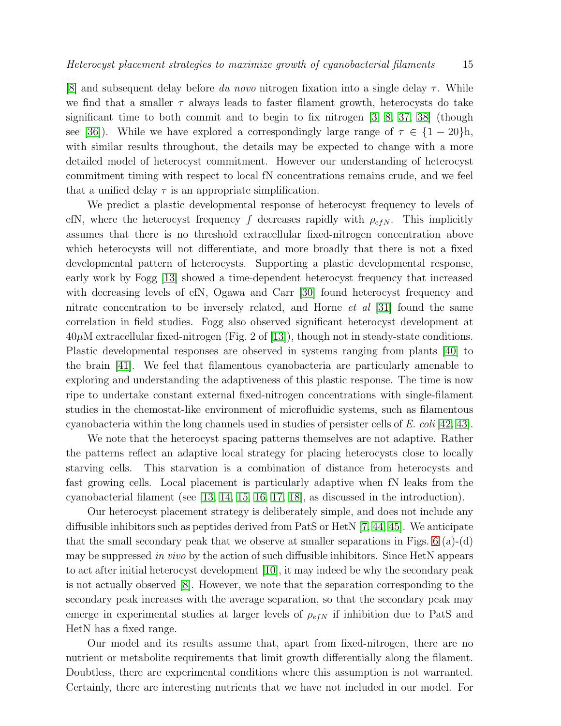[\[8\]](#page-16-7) and subsequent delay before du novo nitrogen fixation into a single delay  $\tau$ . While we find that a smaller  $\tau$  always leads to faster filament growth, heterocysts do take significant time to both commit and to begin to fix nitrogen [\[3,](#page-16-2) [8,](#page-16-7) [37,](#page-17-12) [38\]](#page-17-13) (though see [\[36\]](#page-17-11)). While we have explored a correspondingly large range of  $\tau \in \{1-20\}$ h, with similar results throughout, the details may be expected to change with a more detailed model of heterocyst commitment. However our understanding of heterocyst commitment timing with respect to local fN concentrations remains crude, and we feel that a unified delay  $\tau$  is an appropriate simplification.

We predict a plastic developmental response of heterocyst frequency to levels of efN, where the heterocyst frequency f decreases rapidly with  $\rho_{efN}$ . This implicitly assumes that there is no threshold extracellular fixed-nitrogen concentration above which heterocysts will not differentiate, and more broadly that there is not a fixed developmental pattern of heterocysts. Supporting a plastic developmental response, early work by Fogg [\[13\]](#page-16-12) showed a time-dependent heterocyst frequency that increased with decreasing levels of efN, Ogawa and Carr [\[30\]](#page-17-5) found heterocyst frequency and nitrate concentration to be inversely related, and Horne *et al* [\[31\]](#page-17-6) found the same correlation in field studies. Fogg also observed significant heterocyst development at  $40\mu$ M extracellular fixed-nitrogen (Fig. 2 of [\[13\]](#page-16-12)), though not in steady-state conditions. Plastic developmental responses are observed in systems ranging from plants [\[40\]](#page-17-15) to the brain [\[41\]](#page-17-16). We feel that filamentous cyanobacteria are particularly amenable to exploring and understanding the adaptiveness of this plastic response. The time is now ripe to undertake constant external fixed-nitrogen concentrations with single-filament studies in the chemostat-like environment of microfluidic systems, such as filamentous cyanobacteria within the long channels used in studies of persister cells of E. coli [\[42,](#page-17-17) [43\]](#page-17-18).

We note that the heterocyst spacing patterns themselves are not adaptive. Rather the patterns reflect an adaptive local strategy for placing heterocysts close to locally starving cells. This starvation is a combination of distance from heterocysts and fast growing cells. Local placement is particularly adaptive when fN leaks from the cyanobacterial filament (see [\[13,](#page-16-12) [14,](#page-16-13) [15,](#page-16-14) [16,](#page-16-15) [17,](#page-16-16) [18\]](#page-16-17), as discussed in the introduction).

Our heterocyst placement strategy is deliberately simple, and does not include any diffusible inhibitors such as peptides derived from PatS or HetN [\[7,](#page-16-6) [44,](#page-17-19) [45\]](#page-17-20). We anticipate that the small secondary peak that we observe at smaller separations in Figs.  $6$  (a)-(d) may be suppressed in vivo by the action of such diffusible inhibitors. Since HetN appears to act after initial heterocyst development [\[10\]](#page-16-9), it may indeed be why the secondary peak is not actually observed [\[8\]](#page-16-7). However, we note that the separation corresponding to the secondary peak increases with the average separation, so that the secondary peak may emerge in experimental studies at larger levels of  $\rho_{efN}$  if inhibition due to PatS and HetN has a fixed range.

Our model and its results assume that, apart from fixed-nitrogen, there are no nutrient or metabolite requirements that limit growth differentially along the filament. Doubtless, there are experimental conditions where this assumption is not warranted. Certainly, there are interesting nutrients that we have not included in our model. For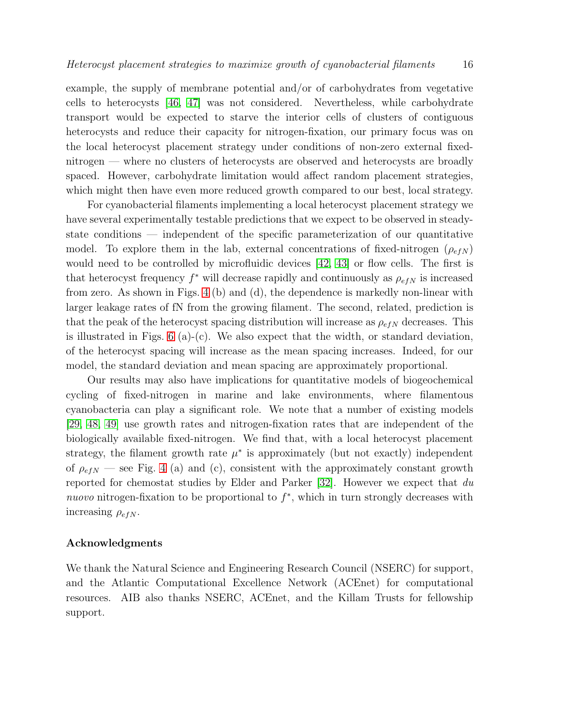example, the supply of membrane potential and/or of carbohydrates from vegetative cells to heterocysts [\[46,](#page-17-21) [47\]](#page-17-22) was not considered. Nevertheless, while carbohydrate transport would be expected to starve the interior cells of clusters of contiguous heterocysts and reduce their capacity for nitrogen-fixation, our primary focus was on the local heterocyst placement strategy under conditions of non-zero external fixednitrogen — where no clusters of heterocysts are observed and heterocysts are broadly spaced. However, carbohydrate limitation would affect random placement strategies, which might then have even more reduced growth compared to our best, local strategy.

For cyanobacterial filaments implementing a local heterocyst placement strategy we have several experimentally testable predictions that we expect to be observed in steadystate conditions — independent of the specific parameterization of our quantitative model. To explore them in the lab, external concentrations of fixed-nitrogen  $(\rho_{efN})$ would need to be controlled by microfluidic devices  $(42, 43)$  or flow cells. The first is that heterocyst frequency  $f^*$  will decrease rapidly and continuously as  $\rho_{efN}$  is increased from zero. As shown in Figs. [4](#page-10-0) (b) and (d), the dependence is markedly non-linear with larger leakage rates of fN from the growing filament. The second, related, prediction is that the peak of the heterocyst spacing distribution will increase as  $\rho_{efN}$  decreases. This is illustrated in Figs.  $6$  (a)-(c). We also expect that the width, or standard deviation, of the heterocyst spacing will increase as the mean spacing increases. Indeed, for our model, the standard deviation and mean spacing are approximately proportional.

Our results may also have implications for quantitative models of biogeochemical cycling of fixed-nitrogen in marine and lake environments, where filamentous cyanobacteria can play a significant role. We note that a number of existing models [\[29,](#page-17-4) [48,](#page-18-0) [49\]](#page-18-1) use growth rates and nitrogen-fixation rates that are independent of the biologically available fixed-nitrogen. We find that, with a local heterocyst placement strategy, the filament growth rate  $\mu^*$  is approximately (but not exactly) independent of  $\rho_{e f N}$  — see Fig. [4](#page-10-0) (a) and (c), consistent with the approximately constant growth reported for chemostat studies by Elder and Parker  $[32]$ . However we expect that du nuovo nitrogen-fixation to be proportional to  $f^*$ , which in turn strongly decreases with increasing  $\rho_{efN}$ .

#### Acknowledgments

We thank the Natural Science and Engineering Research Council (NSERC) for support, and the Atlantic Computational Excellence Network (ACEnet) for computational resources. AIB also thanks NSERC, ACEnet, and the Killam Trusts for fellowship support.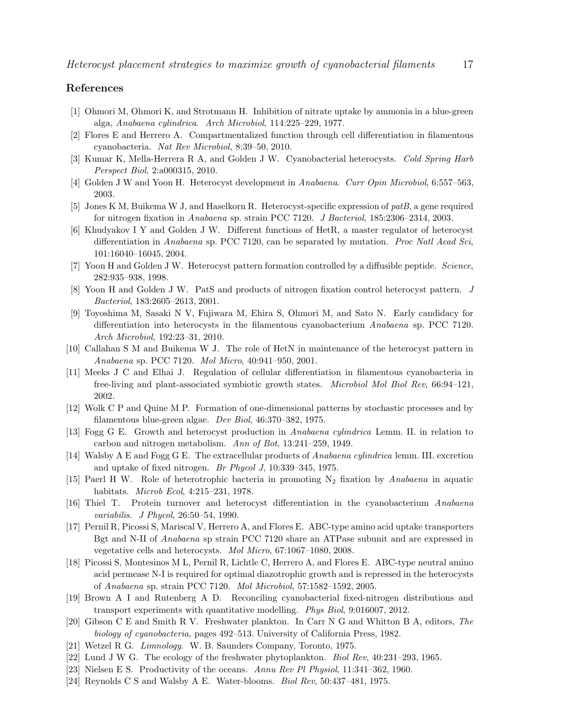## <span id="page-16-0"></span>References

- <span id="page-16-1"></span>[1] Ohmori M, Ohmori K, and Strotmann H. Inhibition of nitrate uptake by ammonia in a blue-green alga, Anabaena cylindrica. Arch Microbiol, 114:225–229, 1977.
- <span id="page-16-2"></span>[2] Flores E and Herrero A. Compartmentalized function through cell differentiation in filamentous cyanobacteria. Nat Rev Microbiol, 8:39–50, 2010.
- <span id="page-16-3"></span>[3] Kumar K, Mella-Herrera R A, and Golden J W. Cyanobacterial heterocysts. Cold Spring Harb Perspect Biol, 2:a000315, 2010.
- <span id="page-16-4"></span>[4] Golden J W and Yoon H. Heterocyst development in Anabaena. Curr Opin Microbiol, 6:557–563, 2003.
- <span id="page-16-5"></span>[5] Jones K M, Buikema W J, and Haselkorn R. Heterocyst-specific expression of patB, a gene required for nitrogen fixation in Anabaena sp. strain PCC 7120. J Bacteriol, 185:2306–2314, 2003.
- [6] Khudyakov I Y and Golden J W. Different functions of HetR, a master regulator of heterocyst differentiation in Anabaena sp. PCC 7120, can be separated by mutation. Proc Natl Acad Sci, 101:16040–16045, 2004.
- <span id="page-16-7"></span><span id="page-16-6"></span>[7] Yoon H and Golden J W. Heterocyst pattern formation controlled by a diffusible peptide. Science, 282:935–938, 1998.
- <span id="page-16-8"></span>[8] Yoon H and Golden J W. PatS and products of nitrogen fixation control heterocyst pattern. J Bacteriol, 183:2605–2613, 2001.
- [9] Toyoshima M, Sasaki N V, Fujiwara M, Ehira S, Ohmori M, and Sato N. Early candidacy for differentiation into heterocysts in the filamentous cyanobacterium Anabaena sp. PCC 7120. Arch Microbiol, 192:23–31, 2010.
- <span id="page-16-10"></span><span id="page-16-9"></span>[10] Callahan S M and Buikema W J. The role of HetN in maintenance of the heterocyst pattern in Anabaena sp. PCC 7120. Mol Micro, 40:941–950, 2001.
- [11] Meeks J C and Elhai J. Regulation of cellular differentiation in filamentous cyanobacteria in free-living and plant-associated symbiotic growth states. Microbiol Mol Biol Rev, 66:94–121, 2002.
- <span id="page-16-12"></span><span id="page-16-11"></span>[12] Wolk C P and Quine M P. Formation of one-dimensional patterns by stochastic processes and by filamentous blue-green algae. Dev Biol, 46:370–382, 1975.
- <span id="page-16-13"></span>[13] Fogg G E. Growth and heterocyst production in Anabaena cylindrica Lemm. II. in relation to carbon and nitrogen metabolism. Ann of Bot, 13:241–259, 1949.
- <span id="page-16-14"></span>[14] Walsby A E and Fogg G E. The extracellular products of Anabaena cylindrica lemm. III. excretion and uptake of fixed nitrogen. Br Phycol J, 10:339–345, 1975.
- [15] Paerl H W. Role of heterotrophic bacteria in promoting  $N_2$  fixation by Anabaena in aquatic habitats. Microb Ecol, 4:215–231, 1978.
- <span id="page-16-16"></span><span id="page-16-15"></span>[16] Thiel T. Protein turnover and heterocyst differentiation in the cyanobacterium Anabaena variabilis. J Phycol, 26:50–54, 1990.
- [17] Pernil R, Picossi S, Mariscal V, Herrero A, and Flores E. ABC-type amino acid uptake transporters Bgt and N-II of Anabaena sp strain PCC 7120 share an ATPase subunit and are expressed in vegetative cells and heterocysts. Mol Micro, 67:1067–1080, 2008.
- <span id="page-16-17"></span>[18] Picossi S, Montesinos M L, Pernil R, Lichtle C, Herrero A, and Flores E. ABC-type neutral amino acid permease N-I is required for optimal diazotrophic growth and is repressed in the heterocysts of Anabaena sp. strain PCC 7120. Mol Microbiol, 57:1582–1592, 2005.
- <span id="page-16-18"></span>[19] Brown A I and Rutenberg A D. Reconciling cyanobacterial fixed-nitrogen distributions and transport experiments with quantitative modelling. Phys Biol, 9:016007, 2012.
- <span id="page-16-19"></span>[20] Gibson C E and Smith R V. Freshwater plankton. In Carr N G and Whitton B A, editors, The biology of cyanobacteria, pages 492–513. University of California Press, 1982.
- <span id="page-16-21"></span><span id="page-16-20"></span>[21] Wetzel R G. Limnology. W. B. Saunders Company, Toronto, 1975.
- <span id="page-16-22"></span>[22] Lund J W G. The ecology of the freshwater phytoplankton. Biol Rev, 40:231–293, 1965.
- <span id="page-16-23"></span>[23] Nielsen E S. Productivity of the oceans. Annu Rev Pl Physiol, 11:341–362, 1960.
- [24] Reynolds C S and Walsby A E. Water-blooms. Biol Rev, 50:437-481, 1975.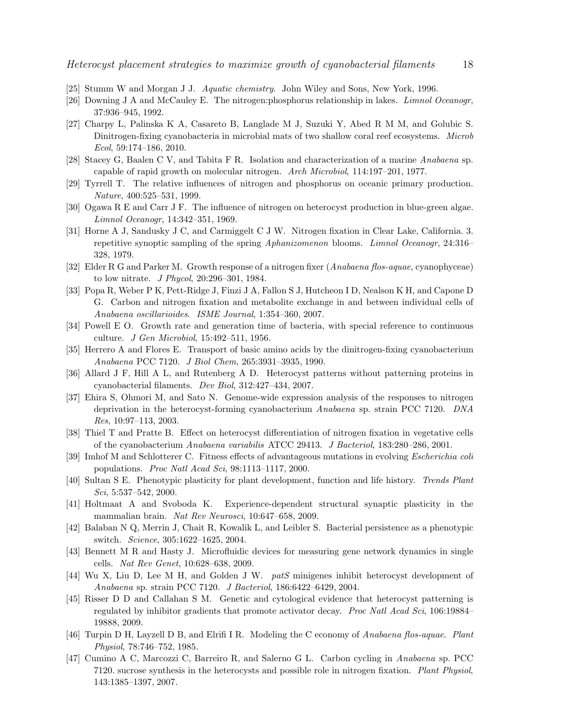- <span id="page-17-1"></span><span id="page-17-0"></span>[25] Stumm W and Morgan J J. Aquatic chemistry. John Wiley and Sons, New York, 1996.
- <span id="page-17-2"></span>[26] Downing J A and McCauley E. The nitrogen:phosphorus relationship in lakes. Limnol Oceanogr, 37:936–945, 1992.
- [27] Charpy L, Palinska K A, Casareto B, Langlade M J, Suzuki Y, Abed R M M, and Golubic S. Dinitrogen-fixing cyanobacteria in microbial mats of two shallow coral reef ecosystems. Microb Ecol, 59:174–186, 2010.
- <span id="page-17-4"></span><span id="page-17-3"></span>[28] Stacey G, Baalen C V, and Tabita F R. Isolation and characterization of a marine Anabaena sp. capable of rapid growth on molecular nitrogen. Arch Microbiol, 114:197–201, 1977.
- <span id="page-17-5"></span>[29] Tyrrell T. The relative influences of nitrogen and phosphorus on oceanic primary production. Nature, 400:525–531, 1999.
- <span id="page-17-6"></span>[30] Ogawa R E and Carr J F. The influence of nitrogen on heterocyst production in blue-green algae. Limnol Oceanogr, 14:342–351, 1969.
- [31] Horne A J, Sandusky J C, and Carmiggelt C J W. Nitrogen fixation in Clear Lake, California. 3. repetitive synoptic sampling of the spring Aphanizomenon blooms. Limnol Oceanogr, 24:316– 328, 1979.
- <span id="page-17-8"></span><span id="page-17-7"></span>[32] Elder R G and Parker M. Growth response of a nitrogen fixer (Anabaena flos-aquae, cyanophyceae) to low nitrate. J Phycol, 20:296–301, 1984.
- [33] Popa R, Weber P K, Pett-Ridge J, Finzi J A, Fallon S J, Hutcheon I D, Nealson K H, and Capone D G. Carbon and nitrogen fixation and metabolite exchange in and between individual cells of Anabaena oscillarioides. ISME Journal, 1:354–360, 2007.
- <span id="page-17-10"></span><span id="page-17-9"></span>[34] Powell E O. Growth rate and generation time of bacteria, with special reference to continuous culture. J Gen Microbiol, 15:492–511, 1956.
- <span id="page-17-11"></span>[35] Herrero A and Flores E. Transport of basic amino acids by the dinitrogen-fixing cyanobacterium Anabaena PCC 7120. J Biol Chem, 265:3931–3935, 1990.
- <span id="page-17-12"></span>[36] Allard J F, Hill A L, and Rutenberg A D. Heterocyst patterns without patterning proteins in cyanobacterial filaments. Dev Biol, 312:427–434, 2007.
- [37] Ehira S, Ohmori M, and Sato N. Genome-wide expression analysis of the responses to nitrogen deprivation in the heterocyst-forming cyanobacterium Anabaena sp. strain PCC 7120. DNA Res, 10:97–113, 2003.
- <span id="page-17-14"></span><span id="page-17-13"></span>[38] Thiel T and Pratte B. Effect on heterocyst differentiation of nitrogen fixation in vegetative cells of the cyanobacterium Anabaena variabilis ATCC 29413. J Bacteriol, 183:280–286, 2001.
- <span id="page-17-15"></span>[39] Imhof M and Schlotterer C. Fitness effects of advantageous mutations in evolving Escherichia coli populations. Proc Natl Acad Sci, 98:1113–1117, 2000.
- <span id="page-17-16"></span>[40] Sultan S E. Phenotypic plasticity for plant development, function and life history. Trends Plant Sci, 5:537–542, 2000.
- [41] Holtmaat A and Svoboda K. Experience-dependent structural synaptic plasticity in the mammalian brain. Nat Rev Neurosci, 10:647–658, 2009.
- <span id="page-17-17"></span>[42] Balaban N Q, Merrin J, Chait R, Kowalik L, and Leibler S. Bacterial persistence as a phenotypic switch. Science, 305:1622–1625, 2004.
- <span id="page-17-18"></span>[43] Bennett M R and Hasty J. Microfluidic devices for measuring gene network dynamics in single cells. Nat Rev Genet, 10:628–638, 2009.
- <span id="page-17-19"></span>[44] Wu X, Liu D, Lee M H, and Golden J W. patS minigenes inhibit heterocyst development of Anabaena sp. strain PCC 7120. J Bacteriol, 186:6422–6429, 2004.
- <span id="page-17-20"></span>[45] Risser D D and Callahan S M. Genetic and cytological evidence that heterocyst patterning is regulated by inhibitor gradients that promote activator decay. Proc Natl Acad Sci, 106:19884– 19888, 2009.
- <span id="page-17-21"></span>[46] Turpin D H, Layzell D B, and Elrifi I R. Modeling the C economy of Anabaena flos-aquae. Plant Physiol, 78:746–752, 1985.
- <span id="page-17-22"></span>[47] Cumino A C, Marcozzi C, Barreiro R, and Salerno G L. Carbon cycling in Anabaena sp. PCC 7120. sucrose synthesis in the heterocysts and possible role in nitrogen fixation. Plant Physiol, 143:1385–1397, 2007.